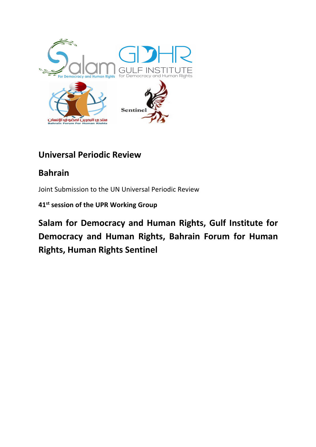

# **Universal Periodic Review**

# **Bahrain**

Joint Submission to the UN Universal Periodic Review

**41st session of the UPR Working Group**

**Salam for Democracy and Human Rights, Gulf Institute for Democracy and Human Rights, Bahrain Forum for Human Rights, Human Rights Sentinel**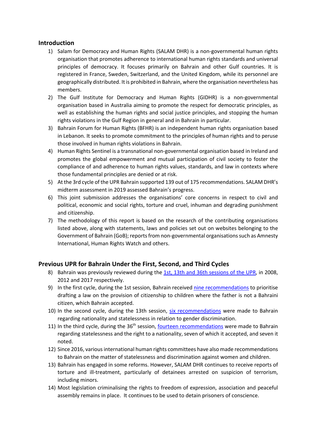## **Introduction**

- 1) Salam for Democracy and Human Rights (SALAM DHR) is a non-governmental human rights organisation that promotes adherence to international human rights standards and universal principles of democracy. It focuses primarily on Bahrain and other Gulf countries. It is registered in France, Sweden, Switzerland, and the United Kingdom, while its personnel are geographically distributed. It is prohibited in Bahrain, where the organisation nevertheless has members.
- 2) The Gulf Institute for Democracy and Human Rights (GIDHR) is a non-governmental organisation based in Australia aiming to promote the respect for democratic principles, as well as establishing the human rights and social justice principles, and stopping the human rights violations in the Gulf Region in general and in Bahrain in particular.
- 3) Bahrain Forum for Human Rights (BFHR) is an independent human rights organisation based in Lebanon. It seeks to promote commitment to the principles of human rights and to peruse those involved in human rights violations in Bahrain.
- 4) Human Rights Sentinel is a transnational non-governmental organisation based in Ireland and promotes the global empowerment and mutual participation of civil society to foster the compliance of and adherence to human rights values, standards, and law in contexts where those fundamental principles are denied or at risk.
- 5) At the 3rd cycle of the UPR Bahrain supported 139 out of 175 recommendations. SALAM DHR's midterm assessment in 2019 assessed Bahrain's progress.
- 6) This joint submission addresses the organisations' core concerns in respect to civil and political, economic and social rights, torture and cruel, inhuman and degrading punishment and citizenship.
- 7) The methodology of this report is based on the research of the contributing organisations listed above, along with statements, laws and policies set out on websites belonging to the Government of Bahrain (GoB); reports from non-governmental organisations such as Amnesty International, Human Rights Watch and others.

# **Previous UPR for Bahrain Under the First, Second, and Third Cycles**

- 8) Bahrain was previously reviewed during the 1st, 13th and 36th sessions of the UPR, in 2008, 2012 and 2017 respectively.
- 9) In the first cycle, during the 1st session, Bahrain received nine recommendations to prioritise drafting a law on the provision of citizenship to children where the father is not a Bahraini citizen, which Bahrain accepted.
- 10) In the second cycle, during the 13th session, six recommendations were made to Bahrain regarding nationality and statelessness in relation to gender discrimination.
- 11) In the third cycle, during the 36<sup>th</sup> session, fourteen recommendations were made to Bahrain regarding statelessness and the right to a nationality, seven of which it accepted, and seven it noted.
- 12) Since 2016, various international human rights committees have also made recommendations to Bahrain on the matter of statelessness and discrimination against women and children.
- 13) Bahrain has engaged in some reforms. However, SALAM DHR continues to receive reports of torture and ill-treatment, particularly of detainees arrested on suspicion of terrorism, including minors.
- 14) Most legislation criminalising the rights to freedom of expression, association and peaceful assembly remains in place. It continues to be used to detain prisoners of conscience.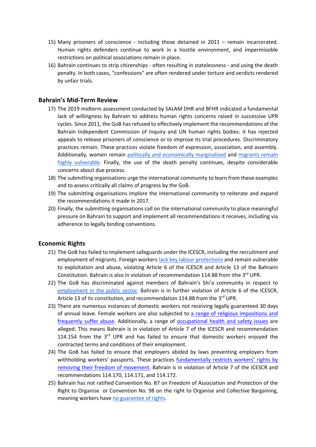- 15) Many prisoners of conscience including those detained in 2011 remain incarcerated. Human rights defenders continue to work in a hostile environment, and impermissible restrictions on political associations remain in place.
- 16) Bahrain continues to strip citizenships often resulting in statelessness and using the death penalty. In both cases, "confessions" are often rendered under torture and verdicts rendered by unfair trials.

## **Bahrain's Mid-Term Review**

- 17) The 2019 midterm assessment conducted by SALAM DHR and BFHR indicated a fundamental lack of willingness by Bahrain to address human rights concerns raised in successive UPR cycles. Since 2011, the GoB has refused to effectively implement the recommendations of the Bahrain Independent Commission of Inquiry and UN human rights bodies: it has rejected appeals to release prisoners of conscience or to improve its trial procedures. Discriminatory practices remain. These practices violate freedom of expression, association, and assembly. Additionally, women remain politically and economically marginalised and migrants remain highly vulnerable. Finally, the use of the death penalty continues, despite considerable concerns about due process.
- 18) The submitting organisations urge the international community to learn from these examples and to assess critically all claims of progress by the GoB.
- 19) The submitting organisations implore the international community to reiterate and expand the recommendations it made in 2017.
- 20) Finally, the submitting organisations call on the international community to place meaningful pressure on Bahrain to support and implement all recommendations it receives, including via adherence to legally binding conventions.

## **Economic Rights**

- 21) The GoB has failed to implement safeguards under the ICESCR, including the recruitment and employment of migrants. Foreign workers lack key labour protections and remain vulnerable to exploitation and abuse, violating Article 6 of the ICESCR and Article 13 of the Bahraini Constitution. Bahrain is also in violation of recommendation 114.88 from ithe  $3<sup>rd</sup>$  UPR.
- 22) The GoB has discriminated against members of Bahrain's Shi'a community in respect to employment in the public sector. Bahrain is in further violation of Article 6 of the ICESCR, Article 13 of its constitution, and recommendation 114.88 from the 3<sup>rd</sup> UPR.
- 23) There are numerous instances of domestic workers not receiving legally guaranteed 30 days of annual leave. Female workers are also subjected to a range of religious impositions and frequently suffer abuse. Additionally, a range of occupational health and safety issues are alleged. This means Bahrain is in violation of Article 7 of the ICESCR and recommendation 114.154 from the 3rd UPR and has failed to ensure that domestic workers enjoyed the contracted terms and conditions of their employment.
- 24) The GoB has failed to ensure that employers abided by laws preventing employers from withholding workers' passports. These practices fundamentally restricts workers' rights by removing their freedom of movement. Bahrain is in violation of Article 7 of the ICESCR and recommendations 114.170, 114.171, and 114.172.
- 25) Bahrain has not ratified Convention No. 87 on Freedom of Association and Protection of the Right to Organise or Convention No. 98 on the right to Organise and Collective Bargaining, meaning workers have no guarantee of rights.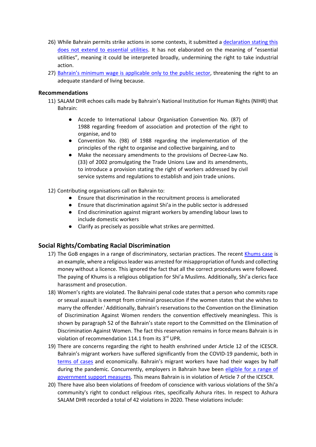- 26) While Bahrain permits strike actions in some contexts, it submitted a declaration stating this does not extend to essential utilities. It has not elaborated on the meaning of "essential utilities", meaning it could be interpreted broadly, undermining the right to take industrial action.
- 27) Bahrain's minimum wage is applicable only to the public sector, threatening the right to an adequate standard of living because.

#### **Recommendations**

- 11) SALAM DHR echoes calls made by Bahrain's National Institution for Human Rights (NIHR) that Bahrain:
	- Accede to International Labour Organisation Convention No. (87) of 1988 regarding freedom of association and protection of the right to organise, and to
	- Convention No. (98) of 1988 regarding the implementation of the principles of the right to organise and collective bargaining, and to
	- Make the necessary amendments to the provisions of Decree-Law No. (33) of 2002 promulgating the Trade Unions Law and its amendments, to introduce a provision stating the right of workers addressed by civil service systems and regulations to establish and join trade unions.

#### 12) Contributing organisations call on Bahrain to:

- Ensure that discrimination in the recruitment process is ameliorated
- Ensure that discrimination against Shi'a in the public sector is addressed
- End discrimination against migrant workers by amending labour laws to include domestic workers
- Clarify as precisely as possible what strikes are permitted.

## **Social Rights/Combating Racial Discrimination**

- 17) The GoB engages in a range of discriminatory, sectarian practices. The recent Khums case is an example, where a religious leader was arrested for misappropriation of funds and collecting money without a licence. This ignored the fact that all the correct procedures were followed. The paying of Khums is a religious obligation for Shi'a Muslims. Additionally, Shi'a clerics face harassment and prosecution.
- 18) Women's rights are violated. The Bahraini penal code states that a person who commits rape or sexual assault is exempt from criminal prosecution if the women states that she wishes to marry the offender.<sup>i</sup> Additionally, Bahrain's reservations to the Convention on the Elimination of Discrimination Against Women renders the convention effectively meaningless. This is shown by paragraph 52 of the Bahrain's state report to the Committed on the Elimination of Discrimination Against Women. The fact this reservation remains in force means Bahrain is in violation of recommendation 114.1 from its 3rd UPR.
- 19) There are concerns regarding the right to health enshrined under Article 12 of the ICESCR. Bahrain's migrant workers have suffered significantly from the COVID-19 pandemic, both in terms of cases and economically. Bahrain's migrant workers have had their wages by half during the pandemic. Concurrently, employers in Bahrain have been eligible for a range of government support measures. This means Bahrain is in violation of Article 7 of the ICESCR.
- 20) There have also been violations of freedom of conscience with various violations of the Shi'a community's right to conduct religious rites, specifically Ashura rites. In respect to Ashura SALAM DHR recorded a total of 42 violations in 2020. These violations include: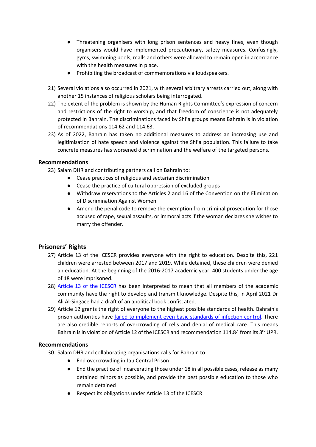- Threatening organisers with long prison sentences and heavy fines, even though organisers would have implemented precautionary, safety measures. Confusingly, gyms, swimming pools, malls and others were allowed to remain open in accordance with the health measures in place.
- Prohibiting the broadcast of commemorations via loudspeakers.
- 21) Several violations also occurred in 2021, with several arbitrary arrests carried out, along with another 15 instances of religious scholars being interrogated.
- 22) The extent of the problem is shown by the Human Rights Committee's expression of concern and restrictions of the right to worship, and that freedom of conscience is not adequately protected in Bahrain. The discriminations faced by Shi'a groups means Bahrain is in violation of recommendations 114.62 and 114.63.
- 23) As of 2022, Bahrain has taken no additional measures to address an increasing use and legitimisation of hate speech and violence against the Shi'a population. This failure to take concrete measures has worsened discrimination and the welfare of the targeted persons.

## **Recommendations**

23) Salam DHR and contributing partners call on Bahrain to:

- Cease practices of religious and sectarian discrimination
- Cease the practice of cultural oppression of excluded groups
- Withdraw reservations to the Articles 2 and 16 of the Convention on the Elimination of Discrimination Against Women
- Amend the penal code to remove the exemption from criminal prosecution for those accused of rape, sexual assaults, or immoral acts if the woman declares she wishes to marry the offender.

# **Prisoners' Rights**

- 27) Article 13 of the ICESCR provides everyone with the right to education. Despite this, 221 children were arrested between 2017 and 2019. While detained, these children were denied an education. At the beginning of the 2016-2017 academic year, 400 students under the age of 18 were imprisoned.
- 28) Article 13 of the ICESCR has been interpreted to mean that all members of the academic community have the right to develop and transmit knowledge. Despite this, in April 2021 Dr Ali Al-Singace had a draft of an apolitical book confiscated.
- 29) Article 12 grants the right of everyone to the highest possible standards of health. Bahrain's prison authorities have failed to implement even basic standards of infection control. There are also credible reports of overcrowding of cells and denial of medical care. This means Bahrain is in violation of Article 12 of the ICESCR and recommendation 114.84 from its 3<sup>rd</sup> UPR.

## **Recommendations**

- 30. Salam DHR and collaborating organisations calls for Bahrain to:
	- End overcrowding in Jau Central Prison
	- End the practice of incarcerating those under 18 in all possible cases, release as many detained minors as possible, and provide the best possible education to those who remain detained
	- Respect its obligations under Article 13 of the ICESCR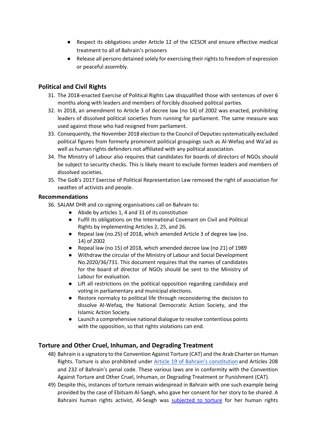- Respect its obligations under Article 12 of the ICESCR and ensure effective medical treatment to all of Bahrain's prisoners
- Release all persons detained solely for exercising their rights to freedom of expression or peaceful assembly.

# **Political and Civil Rights**

- 31. The 2018-enacted Exercise of Political Rights Law disqualified those with sentences of over 6 months along with leaders and members of forcibly dissolved political parties.
- 32. In 2018, an amendment to Article 3 of decree law (no 14) of 2002 was enacted, prohibiting leaders of dissolved political societies from running for parliament. The same measure was used against those who had resigned from parliament.
- 33. Consequently, the November 2018 election to the Council of Deputies systematically excluded political figures from formerly prominent political groupings such as Al-Wefaq and Wa'ad as well as human rights defenders not affiliated with any political association.
- 34. The Ministry of Labour also requires that candidates for boards of directors of NGOs should be subject to security checks. This is likely meant to exclude former leaders and members of dissolved societies.
- 35. The GoB's 2017 Exercise of Political Representation Law removed the right of association for swathes of activists and people.

## **Recommendations**

- 36. SALAM DHR and co-signing organisations call on Bahrain to:
	- Abide by articles 1, 4 and 31 of its constitution
	- Fulfil its obligations on the International Covenant on Civil and Political Rights by implementing Articles 2, 25, and 26.
	- Repeal law (no.25) of 2018, which amended Article 3 of degree law (no. 14) of 2002
	- Repeal law (no 15) of 2018, which amended decree law (no 21) of 1989
	- Withdraw the circular of the Ministry of Labour and Social Development No.2020/36/731. This document requires that the names of candidates for the board of director of NGOs should be sent to the Ministry of Labour for evaluation.
	- Lift all restrictions on the political opposition regarding candidacy and voting in parliamentary and municipal elections.
	- Restore normalcy to political life through reconsidering the decision to dissolve Al-Wefaq, the National Democratic Action Society, and the Islamic Action Society.
	- Launch a comprehensive national dialogue to resolve contentious points with the opposition, so that rights violations can end.

# **Torture and Other Cruel, Inhuman, and Degrading Treatment**

- 48) Bahrain is a signatory to the Convention Against Torture (CAT) and the Arab Charter on Human Rights. Torture is also prohibited under Article 19 of Bahrain's constitution and Articles 208 and 232 of Bahrain's penal code. These various laws are in conformity with the Convention Against Torture and Other Cruel, Inhuman, or Degrading Treatment or Punishment (CAT).
- 49) Despite this, instances of torture remain widespread in Bahrain with one such example being provided by the case of Ebitsam Al-Saegh, who gave her consent for her story to be shared. A Bahraini human rights activist, Al-Seagh was subjected to torture for her human rights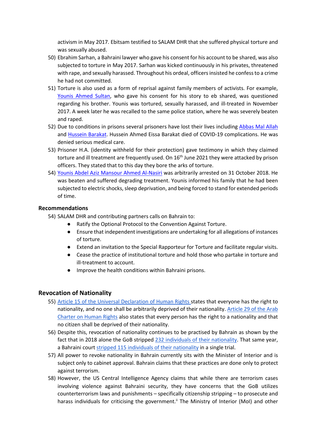activism in May 2017. Ebitsam testified to SALAM DHR that she suffered physical torture and was sexually abused.

- 50) Ebrahim Sarhan, a Bahraini lawyer who gave his consent for his account to be shared, was also subjected to torture in May 2017. Sarhan was kicked continuously in his privates, threatened with rape, and sexually harassed. Throughout his ordeal, officers insisted he confess to a crime he had not committed.
- 51) Torture is also used as a form of reprisal against family members of activists. For example, Younis Ahmed Sultan, who gave his consent for his story to eb shared, was questioned regarding his brother. Younis was tortured, sexually harassed, and ill-treated in November 2017. A week later he was recalled to the same police station, where he was severely beaten and raped.
- 52) Due to conditions in prisons several prisoners have lost their lives including Abbas Mal Allah and Hussein Barakat. Hussein Ahmed Eissa Barakat died of COVID-19 complications. He was denied serious medical care.
- 53) Prisoner H.A. (identity withheld for their protection) gave testimony in which they claimed torture and ill treatment are frequently used. On 16<sup>th</sup> June 2021 they were attacked by prison officers. They stated that to this day they bore the arks of torture.
- 54) Younis Abdel Aziz Mansour Ahmed Al-Nasiri was arbitrarily arrested on 31 October 2018. He was beaten and suffered degrading treatment. Younis informed his family that he had been subjected to electric shocks, sleep deprivation, and being forced to stand for extended periods of time.

#### **Recommendations**

- 54) SALAM DHR and contributing partners calls on Bahrain to:
	- Ratify the Optional Protocol to the Convention Against Torture.
	- Ensure that independent investigations are undertaking for all allegations of instances of torture.
	- Extend an invitation to the Special Rapporteur for Torture and facilitate regular visits.
	- Cease the practice of institutional torture and hold those who partake in torture and ill-treatment to account.
	- Improve the health conditions within Bahraini prisons.

## **Revocation of Nationality**

- 55) Article 15 of the Universal Declaration of Human Rights states that everyone has the right to nationality, and no one shall be arbitrarily deprived of their nationality. Article 29 of the Arab Charter on Human Rights also states that every person has the right to a nationality and that no citizen shall be deprived of their nationality.
- 56) Despite this, revocation of nationality continues to be practised by Bahrain as shown by the fact that in 2018 alone the GoB stripped 232 individuals of their nationality. That same year, a Bahraini court stripped 115 individuals of their nationality in a single trial.
- 57) All power to revoke nationality in Bahrain currently sits with the Minister of Interior and is subject only to cabinet approval. Bahrain claims that these practices are done only to protect against terrorism.
- 58) However, the US Central Intelligence Agency claims that while there are terrorism cases involving violence against Bahraini security, they have concerns that the GoB utilizes counterterrorism laws and punishments – specifically citizenship stripping – to prosecute and harass individuals for criticising the government.<sup>ii</sup> The Ministry of Interior (MoI) and other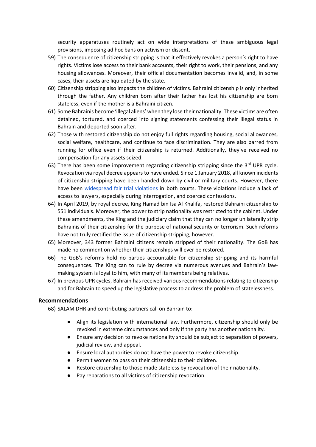security apparatuses routinely act on wide interpretations of these ambiguous legal provisions, imposing ad hoc bans on activism or dissent.

- 59) The consequence of citizenship stripping is that it effectively revokes a person's right to have rights. Victims lose access to their bank accounts, their right to work, their pensions, and any housing allowances. Moreover, their official documentation becomes invalid, and, in some cases, their assets are liquidated by the state.
- 60) Citizenship stripping also impacts the children of victims. Bahraini citizenship is only inherited through the father. Any children born after their father has lost his citizenship are born stateless, even if the mother is a Bahraini citizen.
- 61) Some Bahrainis become 'illegal aliens' when they lose their nationality. These victims are often detained, tortured, and coerced into signing statements confessing their illegal status in Bahrain and deported soon after.
- 62) Those with restored citizenship do not enjoy full rights regarding housing, social allowances, social welfare, healthcare, and continue to face discrimination. They are also barred from running for office even if their citizenship is returned. Additionally, they've received no compensation for any assets seized.
- 63) There has been some improvement regarding citizenship stripping since the  $3<sup>rd</sup>$  UPR cycle. Revocation via royal decree appears to have ended. Since 1 January 2018, all known incidents of citizenship stripping have been handed down by civil or military courts. However, there have been widespread fair trial violations in both courts. These violations include a lack of access to lawyers, especially during interrogation, and coerced confessions.
- 64) In April 2019, by royal decree, King Hamad bin Isa Al Khalifa, restored Bahraini citizenship to 551 individuals. Moreover, the power to strip nationality was restricted to the cabinet. Under these amendments, the King and the judiciary claim that they can no longer unilaterally strip Bahrainis of their citizenship for the purpose of national security or terrorism. Such reforms have not truly rectified the issue of citizenship stripping, however.
- 65) Moreover, 343 former Bahraini citizens remain stripped of their nationality. The GoB has made no comment on whether their citizenships will ever be restored.
- 66) The GoB's reforms hold no parties accountable for citizenship stripping and its harmful consequences. The King can to rule by decree via numerous avenues and Bahrain's lawmaking system is loyal to him, with many of its members being relatives.
- 67) In previous UPR cycles, Bahrain has received various recommendations relating to citizenship and for Bahrain to speed up the legislative process to address the problem of statelessness.

#### **Recommendations**

68) SALAM DHR and contributing partners call on Bahrain to:

- Align its legislation with international law. Furthermore, citizenship should only be revoked in extreme circumstances and only if the party has another nationality.
- Ensure any decision to revoke nationality should be subject to separation of powers, judicial review, and appeal.
- Ensure local authorities do not have the power to revoke citizenship.
- Permit women to pass on their citizenship to their children.
- Restore citizenship to those made stateless by revocation of their nationality.
- Pay reparations to all victims of citizenship revocation.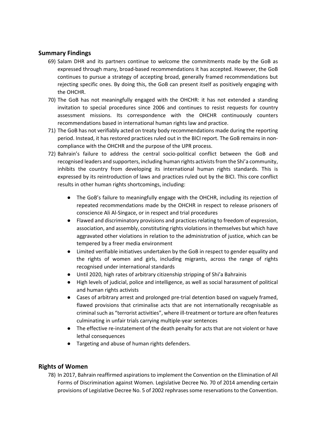## **Summary Findings**

- 69) Salam DHR and its partners continue to welcome the commitments made by the GoB as expressed through many, broad-based recommendations it has accepted. However, the GoB continues to pursue a strategy of accepting broad, generally framed recommendations but rejecting specific ones. By doing this, the GoB can present itself as positively engaging with the OHCHR.
- 70) The GoB has not meaningfully engaged with the OHCHR: it has not extended a standing invitation to special procedures since 2006 and continues to resist requests for country assessment missions. Its correspondence with the OHCHR continuously counters recommendations based in international human rights law and practice.
- 71) The GoB has not verifiably acted on treaty body recommendations made during the reporting period. Instead, it has restored practices ruled out in the BICI report. The GoB remains in noncompliance with the OHCHR and the purpose of the UPR process.
- 72) Bahrain's failure to address the central socio-political conflict between the GoB and recognised leaders and supporters, including human rights activists from the Shi'a community, inhibits the country from developing its international human rights standards. This is expressed by its reintroduction of laws and practices ruled out by the BICI. This core conflict results in other human rights shortcomings, including:
	- The GoB's failure to meaningfully engage with the OHCHR, including its rejection of repeated recommendations made by the OHCHR in respect to release prisoners of conscience Ali Al-Singace, or in respect and trial procedures
	- Flawed and discriminatory provisions and practices relating to freedom of expression, association, and assembly, constituting rights violations in themselves but which have aggravated other violations in relation to the administration of justice, which can be tempered by a freer media environment
	- Limited verifiable initiatives undertaken by the GoB in respect to gender equality and the rights of women and girls, including migrants, across the range of rights recognised under international standards
	- Until 2020, high rates of arbitrary citizenship stripping of Shi'a Bahrainis
	- High levels of judicial, police and intelligence, as well as social harassment of political and human rights activists
	- Cases of arbitrary arrest and prolonged pre-trial detention based on vaguely framed, flawed provisions that criminalise acts that are not internationally recognisable as criminal such as "terrorist activities", where ill-treatment or torture are often features culminating in unfair trials carrying multiple-year sentences
	- The effective re-instatement of the death penalty for acts that are not violent or have lethal consequences
	- Targeting and abuse of human rights defenders.

# **Rights of Women**

78) In 2017, Bahrain reaffirmed aspirationsto implement the Convention on the Elimination of All Forms of Discrimination against Women. Legislative Decree No. 70 of 2014 amending certain provisions of Legislative Decree No. 5 of 2002 rephrases some reservations to the Convention.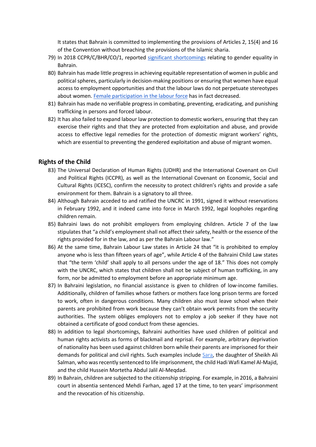It states that Bahrain is committed to implementing the provisions of Articles 2, 15(4) and 16 of the Convention without breaching the provisions of the Islamic sharia.

- 79) In 2018 CCPR/C/BHR/CO/1, reported significant shortcomings relating to gender equality in Bahrain.
- 80) Bahrain has made little progress in achieving equitable representation of women in public and political spheres, particularly in decision-making positions or ensuring that women have equal access to employment opportunities and that the labour laws do not perpetuate stereotypes about women. Female participation in the labour force has in fact decreased.
- 81) Bahrain has made no verifiable progress in combating, preventing, eradicating, and punishing trafficking in persons and forced labour.
- 82) It has also failed to expand labour law protection to domestic workers, ensuring that they can exercise their rights and that they are protected from exploitation and abuse, and provide access to effective legal remedies for the protection of domestic migrant workers' rights, which are essential to preventing the gendered exploitation and abuse of migrant women.

#### **Rights of the Child**

- 83) The Universal Declaration of Human Rights (UDHR) and the International Covenant on Civil and Political Rights (ICCPR), as well as the International Covenant on Economic, Social and Cultural Rights (ICESC), confirm the necessity to protect children's rights and provide a safe environment for them. Bahrain is a signatory to all three.
- 84) Although Bahrain acceded to and ratified the UNCRC in 1991, signed it without reservations in February 1992, and it indeed came into force in March 1992, legal loopholes regarding children remain.
- 85) Bahraini laws do not prohibit employers from employing children. Article 7 of the law stipulates that "a child's employment shall not affect their safety, health or the essence of the rights provided for in the law, and as per the Bahrain Labour law."
- 86) At the same time, Bahrain Labour Law states in Article 24 that "it is prohibited to employ anyone who is less than fifteen years of age", while Article 4 of the Bahraini Child Law states that "the term 'child' shall apply to all persons under the age of 18." This does not comply with the UNCRC, which states that children shall not be subject of human trafficking, in any form, nor be admitted to employment before an appropriate minimum age.
- 87) In Bahraini legislation, no financial assistance is given to children of low-income families. Additionally, children of families whose fathers or mothers face long prison terms are forced to work, often in dangerous conditions. Many children also must leave school when their parents are prohibited from work because they can't obtain work permits from the security authorities. The system obliges employers not to employ a job seeker if they have not obtained a certificate of good conduct from these agencies.
- 88) In addition to legal shortcomings, Bahraini authorities have used children of political and human rights activists as forms of blackmail and reprisal. For example, arbitrary deprivation of nationality has been used against children born while their parents are imprisoned for their demands for political and civil rights. Such examples include Sara, the daughter of Sheikh Ali Salman, who was recently sentenced to life imprisonment, the child Hadi Wafi Kamel Al-Majid, and the child Hussein Mortetha Abdul Jalil Al-Meqdad.
- 89) In Bahrain, children are subjected to the citizenship stripping. For example, in 2016, a Bahraini court in absentia sentenced Mehdi Farhan, aged 17 at the time, to ten years' imprisonment and the revocation of his citizenship.